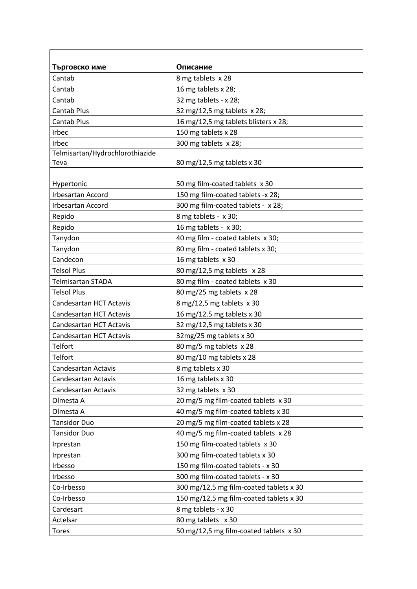| Търговско име                   | Описание                                |
|---------------------------------|-----------------------------------------|
| Cantab                          | 8 mg tablets x 28                       |
| Cantab                          | 16 mg tablets x 28;                     |
| Cantab                          | 32 mg tablets - x 28;                   |
| Cantab Plus                     | 32 mg/12,5 mg tablets x 28;             |
| Cantab Plus                     | 16 mg/12,5 mg tablets blisters x 28;    |
| Irbec                           | 150 mg tablets x 28                     |
| Irbec                           | 300 mg tablets x 28;                    |
| Telmisartan/Hydrochlorothiazide |                                         |
| Teva                            | 80 mg/12,5 mg tablets x 30              |
|                                 |                                         |
| Hypertonic                      | 50 mg film-coated tablets x 30          |
| <b>Irbesartan Accord</b>        | 150 mg film-coated tablets -x 28;       |
| <b>Irbesartan Accord</b>        | 300 mg film-coated tablets - x 28;      |
| Repido                          | 8 mg tablets - x 30;                    |
| Repido                          | 16 mg tablets - x 30;                   |
| Tanydon                         | 40 mg film - coated tablets x 30;       |
| Tanydon                         | 80 mg film - coated tablets x 30;       |
| Candecon                        | 16 mg tablets x 30                      |
| <b>Telsol Plus</b>              | 80 mg/12,5 mg tablets x 28              |
| <b>Telmisartan STADA</b>        | 80 mg film - coated tablets x 30        |
| <b>Telsol Plus</b>              | 80 mg/25 mg tablets x 28                |
| <b>Candesartan HCT Actavis</b>  | 8 mg/12,5 mg tablets x 30               |
| <b>Candesartan HCT Actavis</b>  | 16 mg/12.5 mg tablets x 30              |
| Candesartan HCT Actavis         | 32 mg/12,5 mg tablets x 30              |
| <b>Candesartan HCT Actavis</b>  | 32mg/25 mg tablets x 30                 |
| Telfort                         | 80 mg/5 mg tablets x 28                 |
| Telfort                         | 80 mg/10 mg tablets x 28                |
| Candesartan Actavis             | 8 mg tablets x 30                       |
| Candesartan Actavis             | 16 mg tablets x 30                      |
| Candesartan Actavis             | 32 mg tablets x 30                      |
| Olmesta A                       | 20 mg/5 mg film-coated tablets x 30     |
| Olmesta A                       | 40 mg/5 mg film-coated tablets x 30     |
| <b>Tansidor Duo</b>             | 20 mg/5 mg film-coated tablets x 28     |
| <b>Tansidor Duo</b>             | 40 mg/5 mg film-coated tablets x 28     |
| Irprestan                       | 150 mg film-coated tablets x 30         |
| Irprestan                       | 300 mg film-coated tablets x 30         |
| Irbesso                         | 150 mg film-coated tablets - x 30       |
| Irbesso                         | 300 mg film-coated tablets - x 30       |
| Co-Irbesso                      | 300 mg/12,5 mg film-coated tablets x 30 |
| Co-Irbesso                      | 150 mg/12,5 mg film-coated tablets x 30 |
| Cardesart                       | 8 mg tablets - x 30                     |
| Actelsar                        | 80 mg tablets x 30                      |
| <b>Tores</b>                    | 50 mg/12,5 mg film-coated tablets x 30  |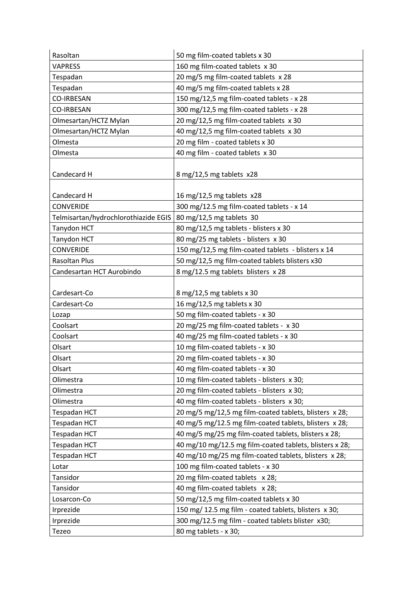| Rasoltan                             | 50 mg film-coated tablets x 30                          |
|--------------------------------------|---------------------------------------------------------|
| <b>VAPRESS</b>                       | 160 mg film-coated tablets x 30                         |
| Tespadan                             | 20 mg/5 mg film-coated tablets x 28                     |
| Tespadan                             | 40 mg/5 mg film-coated tablets x 28                     |
| <b>CO-IRBESAN</b>                    | 150 mg/12,5 mg film-coated tablets - x 28               |
| <b>CO-IRBESAN</b>                    | 300 mg/12,5 mg film-coated tablets - x 28               |
| Olmesartan/HCTZ Mylan                | 20 mg/12,5 mg film-coated tablets x 30                  |
| Olmesartan/HCTZ Mylan                | 40 mg/12,5 mg film-coated tablets x 30                  |
| Olmesta                              | 20 mg film - coated tablets x 30                        |
| Olmesta                              | 40 mg film - coated tablets x 30                        |
|                                      |                                                         |
| Candecard H                          | 8 mg/12,5 mg tablets x28                                |
|                                      |                                                         |
| Candecard H                          | 16 mg/12,5 mg tablets x28                               |
| <b>CONVERIDE</b>                     | 300 mg/12.5 mg film-coated tablets - x 14               |
| Telmisartan/hydrochlorothiazide EGIS | 80 mg/12,5 mg tablets 30                                |
| Tanydon HCT                          | 80 mg/12,5 mg tablets - blisters x 30                   |
| Tanydon HCT                          | 80 mg/25 mg tablets - blisters x 30                     |
| <b>CONVERIDE</b>                     | 150 mg/12,5 mg film-coated tablets - blisters x 14      |
| Rasoltan Plus                        | 50 mg/12,5 mg film-coated tablets blisters x30          |
| Candesartan HCT Aurobindo            | 8 mg/12.5 mg tablets blisters x 28                      |
|                                      |                                                         |
| Cardesart-Co                         | 8 mg/12,5 mg tablets x 30                               |
| Cardesart-Co                         | 16 mg/12,5 mg tablets x 30                              |
| Lozap                                | 50 mg film-coated tablets - x 30                        |
| Coolsart                             | 20 mg/25 mg film-coated tablets - x 30                  |
| Coolsart                             | 40 mg/25 mg film-coated tablets - x 30                  |
| Olsart                               | 10 mg film-coated tablets - x 30                        |
| Olsart                               | 20 mg film-coated tablets - x 30                        |
| Olsart                               | 40 mg film-coated tablets - x 30                        |
| Olimestra                            | 10 mg film-coated tablets - blisters x 30;              |
| Olimestra                            | 20 mg film-coated tablets - blisters x 30;              |
| Olimestra                            | 40 mg film-coated tablets - blisters x 30;              |
| Tespadan HCT                         | 20 mg/5 mg/12,5 mg film-coated tablets, blisters x 28;  |
| Tespadan HCT                         | 40 mg/5 mg/12.5 mg film-coated tablets, blisters x 28;  |
| Tespadan HCT                         | 40 mg/5 mg/25 mg film-coated tablets, blisters x 28;    |
| Tespadan HCT                         | 40 mg/10 mg/12.5 mg film-coated tablets, blisters x 28; |
| Tespadan HCT                         | 40 mg/10 mg/25 mg film-coated tablets, blisters x 28;   |
| Lotar                                | 100 mg film-coated tablets - x 30                       |
| Tansidor                             | 20 mg film-coated tablets x 28;                         |
| Tansidor                             | 40 mg film-coated tablets x 28;                         |
| Losarcon-Co                          | 50 mg/12,5 mg film-coated tablets x 30                  |
| Irprezide                            | 150 mg/ 12.5 mg film - coated tablets, blisters x 30;   |
| Irprezide                            | 300 mg/12.5 mg film - coated tablets blister x30;       |
| Tezeo                                | 80 mg tablets - x 30;                                   |